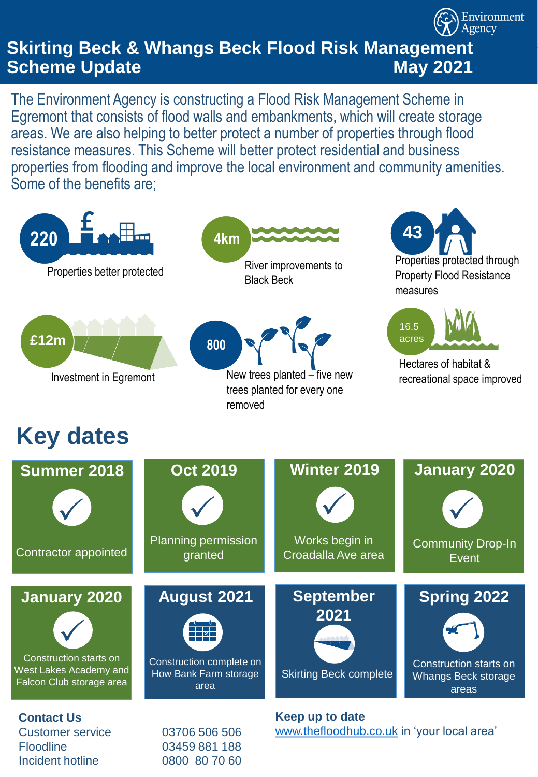# **Skirting Beck & Whangs Beck Flood Risk Management Scheme Update May 2021**

Environment Agency

The Environment Agency is constructing a Flood Risk Management Scheme in Egremont that consists of flood walls and embankments, which will create storage areas. We are also helping to better protect a number of properties through flood resistance measures. This Scheme will better protect residential and business properties from flooding and improve the local environment and community amenities. Some of the benefits are;